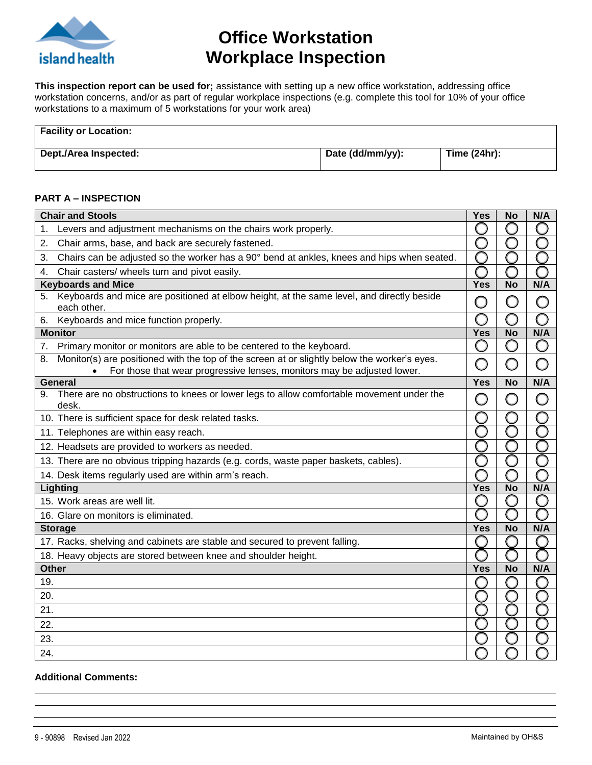

## **Office Workstation Workplace Inspection**

**This inspection report can be used for;** assistance with setting up a new office workstation, addressing office workstation concerns, and/or as part of regular workplace inspections (e.g. complete this tool for 10% of your office workstations to a maximum of 5 workstations for your work area)

| <b>Facility or Location:</b> |                  |              |
|------------------------------|------------------|--------------|
| Dept./Area Inspected:        | Date (dd/mm/yy): | Time (24hr): |

#### **PART A – INSPECTION**

|              | <b>Chair and Stools</b>                                                                                                                                                 | Yes                                           | <b>No</b>  | N/A    |
|--------------|-------------------------------------------------------------------------------------------------------------------------------------------------------------------------|-----------------------------------------------|------------|--------|
| 1.           | Levers and adjustment mechanisms on the chairs work properly.                                                                                                           |                                               |            |        |
| 2.           | Chair arms, base, and back are securely fastened.                                                                                                                       |                                               |            |        |
| 3.           | Chairs can be adjusted so the worker has a 90° bend at ankles, knees and hips when seated.                                                                              |                                               |            |        |
| 4.           | Chair casters/ wheels turn and pivot easily.                                                                                                                            |                                               |            |        |
|              | <b>Keyboards and Mice</b>                                                                                                                                               | Yes                                           | <b>No</b>  | N/A    |
| 5.           | Keyboards and mice are positioned at elbow height, at the same level, and directly beside<br>each other.                                                                | $\begin{array}{c} \square \end{array}$        | $\bigcirc$ | O      |
| 6.           | Keyboards and mice function properly.                                                                                                                                   |                                               |            |        |
|              | <b>Monitor</b>                                                                                                                                                          | Yes                                           | <b>No</b>  | N/A    |
| 7.           | Primary monitor or monitors are able to be centered to the keyboard.                                                                                                    |                                               | 9          |        |
| 8.           | Monitor(s) are positioned with the top of the screen at or slightly below the worker's eyes.<br>For those that wear progressive lenses, monitors may be adjusted lower. | $\left( \begin{array}{c} \end{array} \right)$ | 0          | ∩      |
|              | <b>General</b>                                                                                                                                                          | <b>Yes</b>                                    | <b>No</b>  | N/A    |
| 9.           | There are no obstructions to knees or lower legs to allow comfortable movement under the<br>desk.                                                                       | $\left( \begin{array}{c} \end{array} \right)$ | Ω          | ∩      |
|              | 10. There is sufficient space for desk related tasks.                                                                                                                   |                                               |            |        |
|              | 11. Telephones are within easy reach.                                                                                                                                   |                                               |            |        |
|              | 12. Headsets are provided to workers as needed.                                                                                                                         |                                               |            |        |
|              | 13. There are no obvious tripping hazards (e.g. cords, waste paper baskets, cables).                                                                                    |                                               |            |        |
|              | 14. Desk items regularly used are within arm's reach.                                                                                                                   |                                               |            |        |
|              | Lighting                                                                                                                                                                | Yes                                           | <b>No</b>  | N/A    |
|              | 15. Work areas are well lit.                                                                                                                                            |                                               |            | $\Box$ |
|              | 16. Glare on monitors is eliminated.                                                                                                                                    |                                               |            |        |
|              | <b>Storage</b>                                                                                                                                                          | <b>Yes</b>                                    | <b>No</b>  | N/A    |
|              | 17. Racks, shelving and cabinets are stable and secured to prevent falling.                                                                                             |                                               |            |        |
|              | 18. Heavy objects are stored between knee and shoulder height.                                                                                                          |                                               |            |        |
| <b>Other</b> |                                                                                                                                                                         | Yes                                           | <b>No</b>  | N/A    |
| 19.          |                                                                                                                                                                         |                                               |            |        |
| 20.          |                                                                                                                                                                         |                                               |            |        |
| 21.          |                                                                                                                                                                         |                                               |            |        |
| 22.          |                                                                                                                                                                         |                                               |            |        |
| 23.          |                                                                                                                                                                         |                                               |            |        |
| 24.          |                                                                                                                                                                         |                                               |            |        |

#### **Additional Comments:**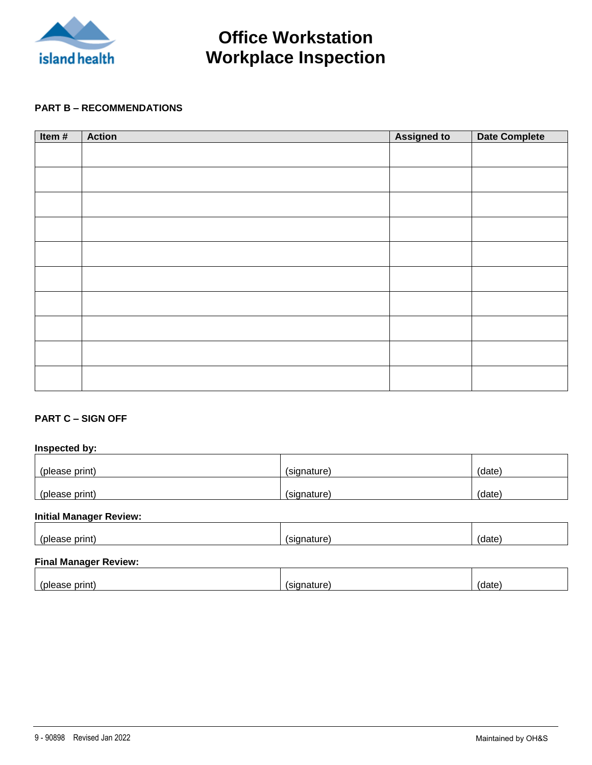

# **Office Workstation Workplace Inspection**

#### **PART B – RECOMMENDATIONS**

| Item# | <b>Action</b> | <b>Assigned to</b> | <b>Date Complete</b> |
|-------|---------------|--------------------|----------------------|
|       |               |                    |                      |
|       |               |                    |                      |
|       |               |                    |                      |
|       |               |                    |                      |
|       |               |                    |                      |
|       |               |                    |                      |
|       |               |                    |                      |
|       |               |                    |                      |
|       |               |                    |                      |
|       |               |                    |                      |
|       |               |                    |                      |
|       |               |                    |                      |
|       |               |                    |                      |
|       |               |                    |                      |
|       |               |                    |                      |
|       |               |                    |                      |
|       |               |                    |                      |
|       |               |                    |                      |
|       |               |                    |                      |
|       |               |                    |                      |

#### **PART C – SIGN OFF**

### **Inspected by:** (please print) (a) (signature) (signature) (signature) (date) (please print) (signature) (signature) (signature) (date)

#### **Initial Manager Review:**

|  | . |
|--|---|
|  |   |

### **Final Manager Review:**

| $-$<br>71 L |  |  |
|-------------|--|--|
|             |  |  |